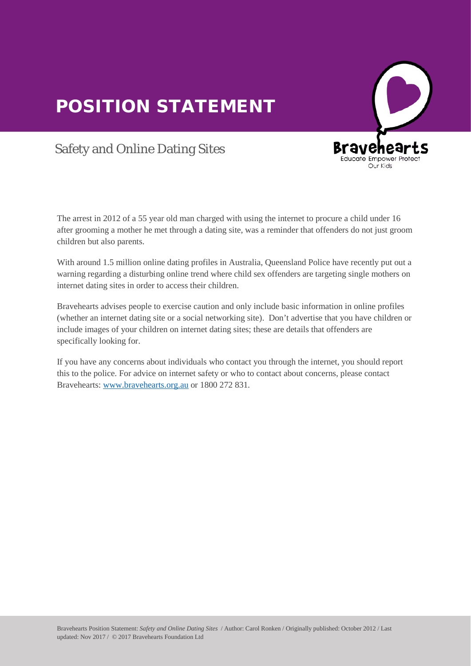## POSITION STATEMENT



## Safety and Online Dating Sites

The arrest in 2012 of a 55 year old man charged with using the internet to procure a child under 16 after grooming a mother he met through a dating site, was a reminder that offenders do not just groom arter grooming a mother is

With around 1.5 million online dating profiles in Australia, Queensland Police have recently put out a warning regarding a disturbing online trend where child sex offenders are targeting single mothers on internet dating sites in order to access their children.

Bravehearts advises people to exercise caution and only include basic information in online profiles (whether an internet dating site or a social networking site). Don't advertise that you have children or include images of your children on internet dating sites; these are details that offenders are specifically looking for.

If you have any concerns about individuals who contact you through the internet, you should report this to the police. For advice on internet safety or who to contact about concerns, please contact ans to the ponce. For davice on microte streety or who to<br>Bravehearts: [www.bravehearts.org.au](http://www.bravehearts.org.au/) or 1800 272 831.